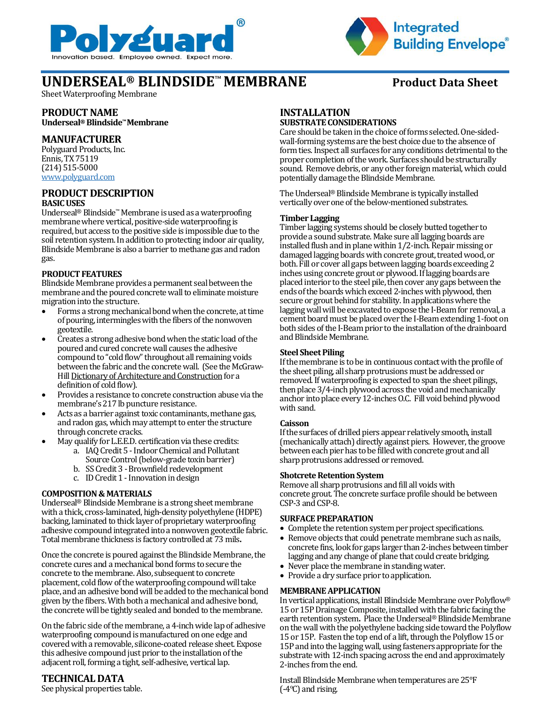



# **UNDERSEAL<sup>®</sup> BLINDSIDE<sup>™</sup> MEMBRANE** Product Data Sheet

Sheet Waterproofing Membrane

### **PRODUCT NAME Underseal® Blindside™Membrane**

### **MANUFACTURER**

Polyguard Products, Inc. Ennis, TX 75119 (214) 515-5000 [www.polyguard.com](http://www.polyguard.com/)

## **PRODUCT DESCRIPTION**

### **BASIC USES**

Underseal® Blindside™Membrane is used as a waterproofing membrane where vertical, positive-side waterproofing is required, but access to the positive side is impossible due to the soil retention system. In addition to protecting indoor air quality, Blindside Membrane is also a barrier to methane gas and radon gas.

### **PRODUCT FEATURES**

Blindside Membrane provides a permanent seal between the membrane and the poured concrete wall to eliminate moisture migration into the structure.

- Forms a strong mechanical bond when the concrete, at time of pouring, intermingles with the fibers of the nonwoven geotextile.
- Creates a strong adhesive bond when the static load of the poured and cured concrete wall causes the adhesive compound to "cold flow" throughout all remaining voids between the fabric and the concrete wall. (See the McGraw-Hill Dictionary of Architecture and Construction for a definition of cold flow).
- Provides a resistance to concrete construction abuse via the membrane's 217 lb puncture resistance.
- Acts as a barrier against toxic contaminants, methane gas, and radon gas, which may attempt to enter the structure through concrete cracks.
- May qualify for L.E.E.D. certification via these credits:
	- a. IAQ Credit 5 Indoor Chemical and Pollutant Source Control (below-grade toxin barrier)
	- b. SS Credit 3 Brownfield redevelopment
	- c. ID Credit 1 -Innovation in design

### **COMPOSITION & MATERIALS**

Underseal® Blindside Membrane is a strong sheet membrane with a thick, cross-laminated, high-density polyethylene (HDPE) backing, laminated to thick layer of proprietary waterproofing adhesive compound integrated into a nonwoven geotextile fabric. Total membrane thickness is factory controlled at 73 mils**.** 

Once the concrete is poured against the Blindside Membrane, the concrete cures and a mechanical bond forms to secure the concrete to the membrane.Also, subsequent to concrete placement, cold flow of the waterproofing compound will take place, and an adhesive bond will be added to the mechanical bond given by the fibers. With both a mechanical and adhesive bond, the concrete will be tightly sealed and bonded to the membrane.

On the fabric side of the membrane, a 4-inch wide lap of adhesive waterproofing compound is manufactured on one edge and covered with a removable, silicone-coated release sheet. Expose this adhesive compound just prior to the installation of the adjacent roll, forming a tight, self-adhesive, vertical lap.

### **TECHNICAL DATA**

See physical properties table.

### **INSTALLATION SUBSTRATE CONSIDERATIONS**

Care should be taken in the choice of forms selected. One-sidedwall-forming systems are the best choice due to the absence of form ties. Inspect all surfaces for any conditions detrimental to the proper completion of the work. Surfaces should be structurally sound. Remove debris, or any other foreign material, which could potentiallydamage the Blindside Membrane.

The Underseal® Blindside Membrane is typically installed vertically over one of the below-mentioned substrates.

### **Timber Lagging**

Timber lagging systems should be closely butted together to provide a sound substrate. Make sure all lagging boards are installed flush and in plane within 1/2-inch. Repair missing or damaged lagging boards with concrete grout, treated wood, or both. Fill or cover all gaps between lagging boards exceeding 2 inches using concrete grout or plywood. If lagging boards are placed interior to the steel pile, then cover any gaps between the ends of the boards which exceed 2-inches with plywood, then secure or grout behind for stability. In applications where the lagging wall will be excavated to expose the I-Beam for removal, a cement board must be placed over the I-Beam extending 1-foot on both sides of the I-Beam prior to the installation of the drainboard and Blindside Membrane.

### **Steel Sheet Piling**

If the membrane is to be in continuous contact with the profile of the sheet piling, all sharp protrusions must be addressed or removed. If waterproofing is expected to span the sheet pilings, then place  $3/4$ -inch plywood across the void and mechanically anchor into place every 12-inches O.C. Fill void behind plywood with sand.

### **Caisson**

If the surfaces of drilled piers appear relatively smooth, install (mechanically attach) directly against piers. However, the groove between each pier has to be filled with concrete grout and all sharp protrusions addressed or removed.

### **Shotcrete Retention System**

Remove all sharp protrusions and fill all voids with concrete grout. The concrete surface profile should be between CSP-3 and CSP-8.

### **SURFACE PREPARATION**

- Complete the retention system per project specifications.
- Remove objects that could penetrate membrane such as nails, concrete fins, look for gaps larger than 2-inches between timber lagging and any change of plane that could create bridging.
- Never place the membrane in standing water.
- Provide a dry surface prior to application.

### **MEMBRANE APPLICATION**

In vertical applications, install Blindside Membrane over Polyflow® 15 or 15P Drainage Composite, installed with the fabric facing the earth retention system**.** Place the Underseal® Blindside Membrane on the wall with the polyethylene backing side toward the Polyflow 15 or 15P. Fasten the top end of a lift, through the Polyflow 15 or 15P and into the lagging wall, using fasteners appropriate for the substrate with 12-inch spacing across the end and approximately 2-inches from the end.

Install Blindside Membrane when temperatures are 25°F (-4ºC) and rising.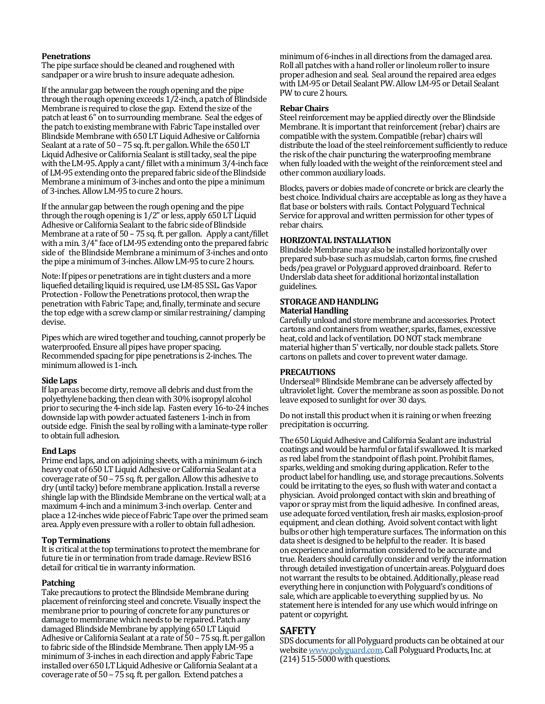### **Penetrations**

The pipe surface should be cleaned and roughened with sandpaper or a wire brush to insure adequate adhesion.

If the annular gap between the rough opening and the pipe through the rough opening exceeds 1/2-inch, a patch of Blindside Membrane is required to close the gap. Extend the size of the patch at least 6" on to surrounding membrane. Seal the edges of the patch to existing membrane with Fabric Tape installed over Blindside Membrane with 650 LT Liquid Adhesive or California Sealant at a rate of 50 – 75 sq. ft. per gallon. While the 650 LT Liquid Adhesive or California Sealant is still tacky, seal the pipe with the LM-95. Apply a cant/ fillet with a minimum 3/4-inch face of LM-95 extending onto the prepared fabric side of the Blindside Membrane a minimum of 3-inches and onto the pipe a minimum of 3-inches. Allow LM-95 to cure 2 hours.

If the annular gap between the rough opening and the pipe through the rough opening is 1/2" or less, apply 650 LT Liquid Adhesive or California Sealant to the fabric side of Blindside Membrane at a rate of 50 – 75 sq. ft. per gallon. Apply a cant/fillet with a min. 3/4" face of LM-95 extending onto the prepared fabric side of the Blindside Membrane a minimum of 3-inches and onto the pipe a minimum of 3-inches.Allow LM-95 to cure 2 hours.

Note: If pipes or penetrations are in tight clusters and a more liquefied detailing liquid is required, use LM-85 SSL.Gas Vapor Protection - Follow the Penetrations protocol, then wrap the penetration with Fabric Tape; and, finally, terminate and secure the top edge with a screw clamp or similar restraining/ clamping devise.

Pipes which are wired together and touching, cannot properly be waterproofed. Ensure all pipes have proper spacing. Recommended spacing for pipe penetrations is 2-inches. The minimum allowed is 1-inch.

### **Side Laps**

If lap areas become dirty, remove all debris and dust from the polyethylene backing, then clean with 30% isopropyl alcohol prior to securing the 4-inch side lap. Fasten every 16-to-24 inches downside lap with powder actuated fasteners 1-inch in from outside edge. Finish the seal by rollingwitha laminate-type roller to obtain full adhesion.

### **End Laps**

Prime end laps, and on adjoining sheets, with a minimum 6-inch heavy coat of 650 LT Liquid Adhesive or California Sealant at a coverage rate of  $50 - 75$  sq. ft. per gallon. Allow this adhesive to dry (until tacky) before membrane application. Install a reverse shingle lap with the Blindside Membrane on the vertical wall; at a maximum 4-inch and a minimum 3-inch overlap. Center and place a 12-incheswide piece of Fabric Tape over the primed seam area. Apply even pressure with a roller to obtain full adhesion.

### **Top Terminations**

It is critical at the top terminations to protect the membrane for future tie in or termination from trade damage. Review BS16 detail for critical tie in warranty information.

### **Patching**

Take precautions to protect the Blindside Membrane during placement of reinforcing steel and concrete. Visually inspect the membrane prior to pouring of concrete for any punctures or damage to membrane which needs to be repaired. Patch any damaged Blindside Membrane by applying 650 LT Liquid Adhesive or California Sealant at a rate of 50 –75 sq. ft. per gallon to fabric side of the Blindside Membrane. Then apply LM-95 a minimum of 3-inches in each direction and apply Fabric Tape installed over 650 LT Liquid Adhesive or California Sealant at a coverage rate of 50 –75 sq. ft. per gallon. Extend patches a

minimum of 6-inches in all directions from the damaged area. Roll all patches with a hand roller or linoleum roller to insure proper adhesion and seal. Seal around the repaired area edges with LM-95 or Detail Sealant PW.Allow LM-95 or Detail Sealant PW to cure 2 hours.

### **Rebar Chairs**

Steel reinforcement may be applied directly over the Blindside Membrane. It is important that reinforcement (rebar) chairs are compatible with the system. Compatible (rebar) chairs will distribute the load of the steel reinforcement sufficiently to reduce the risk of the chair puncturing the waterproofing membrane when fully loaded with the weight of the reinforcement steel and other common auxiliary loads.

Blocks, pavers or dobies made of concrete or brick are clearly the best choice. Individual chairs are acceptable as long as they have a flat base or bolsters with rails. Contact Polyguard Technical Service for approval and written permission for other types of rebar chairs.

### **HORIZONTAL INSTALLATION**

Blindside Membrane may also be installed horizontally over prepared sub-base such as mudslab, carton forms, fine crushed beds/pea gravel or Polyguard approved drainboard. Refer to Underslab data sheet for additional horizontal installation guidelines.

### **STORAGE AND HANDLING Material Handling**

Carefully unload and store membrane and accessories. Protect cartons and containers from weather, sparks, flames, excessive heat, cold and lack of ventilation. DO NOT stack membrane material higher than 5' vertically, nor double stack pallets. Store cartons on pallets and cover to prevent water damage.

### **PRECAUTIONS**

Underseal® Blindside Membrane can be adversely affected by ultraviolet light. Cover the membrane as soon as possible. Do not leave exposed to sunlight for over 30 days.

Do not install this product when it is raining or when freezing precipitation is occurring.

The 650 Liquid Adhesive and California Sealant are industrial coatings and would be harmful or fatal if swallowed. It is marked as red label from the standpoint of flash point. Prohibit flames, sparks, welding and smoking during application. Refer to the product label for handling, use, and storage precautions. Solvents could be irritating to the eyes, so flush with water and contact a physician. Avoid prolonged contact with skin and breathing of vapor or spray mist from the liquid adhesive. In confined areas, use adequate forced ventilation, fresh air masks, explosion-proof equipment, and clean clothing. Avoid solvent contact with light bulbs or other high temperature surfaces. The information on this data sheet is designed to be helpful to the reader. It is based on experience and information considered to be accurate and true. Readers should carefully consider and verify the information through detailed investigation of uncertainareas. Polyguard does not warrant the results to be obtained.Additionally, please read everything here in conjunction with Polyguard's conditions of sale, which are applicable to everything supplied by us. No statement here is intended for any use which would infringe on patent or copyright.

### **SAFETY**

SDS documents for all Polyguard products can be obtained at our websit[e www.polyguard.com.](http://www.polyguard.com/)Call Polyguard Products, Inc. at (214) 515-5000 with questions.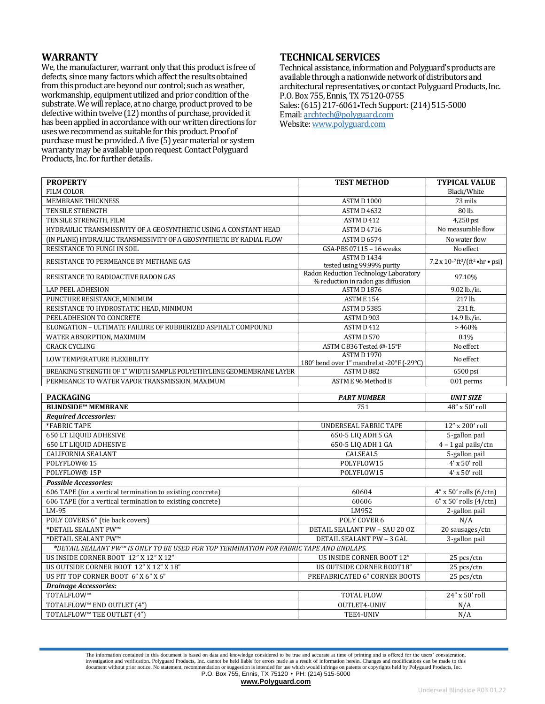### **WARRANTY**

We, the manufacturer, warrant only that this product is free of defects, since many factors which affect the results obtained from this product are beyond our control; such as weather, workmanship, equipment utilized and prior condition of the substrate. We will replace, at no charge, product proved to be defective within twelve (12) months of purchase, provided it has been applied in accordance with our written directions for uses we recommend as suitable for this product. Proof of purchase must be provided. A five (5) year material or system warranty may be available upon request. Contact Polyguard Products, Inc. for further details.

### **TECHNICAL SERVICES**

Technical assistance, information and Polyguard's products are available through a nationwide network of distributors and architectural representatives, or contact Polyguard Products, Inc. P.O. Box 755, Ennis, TX 75120-0755 Sales: (615) 217-6061•Tech Support: (214) 515-5000 Email: [archtech@polyguard.com](mailto:archtech@polyguard.com) Website: [www.polyguard.com](http://www.polyguard.com/)

| <b>PROPERTY</b>                                                                         | <b>TEST METHOD</b>                                                                | <b>TYPICAL VALUE</b>                                               |
|-----------------------------------------------------------------------------------------|-----------------------------------------------------------------------------------|--------------------------------------------------------------------|
| <b>FILM COLOR</b>                                                                       |                                                                                   | Black/White                                                        |
| MEMBRANE THICKNESS                                                                      | ASTMD 1000                                                                        | 73 mils                                                            |
| <b>TENSILE STRENGTH</b>                                                                 | <b>ASTM D 4632</b>                                                                | 80 lb.                                                             |
| TENSILE STRENGTH, FILM                                                                  | ASTMD 412                                                                         | 4,250 psi                                                          |
| HYDRAULIC TRANSMISSIVITY OF A GEOSYNTHETIC USING A CONSTANT HEAD                        | ASTMD4716                                                                         | No measurable flow                                                 |
| (IN PLANE) HYDRAULIC TRANSMISSIVITY OF A GEOSYNTHETIC BY RADIAL FLOW                    | <b>ASTM D 6574</b>                                                                | No water flow                                                      |
| RESISTANCE TO FUNGI IN SOIL                                                             | GSA-PBS 07115 - 16 weeks                                                          | No effect                                                          |
| RESISTANCE TO PERMEANCE BY METHANE GAS                                                  | ASTM D1434<br>tested using 99.99% purity<br>Radon Reduction Technology Laboratory | $7.2 \times 10^{-7}$ ft <sup>3</sup> /(ft <sup>2</sup> • hr • psi) |
| RESISTANCE TO RADIOACTIVE RADON GAS                                                     | % reduction in radon gas diffusion                                                | 97.10%                                                             |
| <b>LAP PEEL ADHESION</b>                                                                | ASTM D1876                                                                        | 9.02 lb./in.                                                       |
| PUNCTURE RESISTANCE, MINIMUM                                                            | ASTM E 154                                                                        | 217 lb.                                                            |
| RESISTANCE TO HYDROSTATIC HEAD, MINIMUM                                                 | ASTM D 5385                                                                       | 231 ft.                                                            |
| PEEL ADHESION TO CONCRETE                                                               | ASTMD 903                                                                         | 14.9 lb./in.                                                       |
| ELONGATION - ULTIMATE FAILURE OF RUBBERIZED ASPHALT COMPOUND                            | ASTMD 412                                                                         | >460%                                                              |
| WATER ABSORPTION, MAXIMUM                                                               | ASTMD 570                                                                         | 0.1%                                                               |
| <b>CRACK CYCLING</b>                                                                    | ASTM C 836 Tested @-15°F                                                          | No effect                                                          |
| LOW TEMPERATURE FLEXIBILITY                                                             | <b>ASTMD1970</b><br>180° bend over 1" mandrel at -20°F (-29°C)                    | No effect                                                          |
| BREAKING STRENGTH OF 1" WIDTH SAMPLE POLYETHYLENE GEOMEMBRANE LAYER                     | ASTMD 882                                                                         | 6500 psi                                                           |
| PERMEANCE TO WATER VAPOR TRANSMISSION, MAXIMUM                                          | ASTM E 96 Method B                                                                | $0.01$ perms                                                       |
|                                                                                         |                                                                                   |                                                                    |
|                                                                                         |                                                                                   |                                                                    |
| <b>PACKAGING</b>                                                                        | <b>PART NUMBER</b>                                                                | <b>UNIT SIZE</b>                                                   |
| <b>BLINDSIDE™ MEMBRANE</b>                                                              | 751                                                                               | 48" x 50' roll                                                     |
| <b>Required Accessories:</b>                                                            |                                                                                   |                                                                    |
| *FABRIC TAPE                                                                            | <b>UNDERSEAL FABRIC TAPE</b>                                                      | 12" x 200' roll                                                    |
| <b>650 LT LIQUID ADHESIVE</b>                                                           | 650-5 LIQ ADH 5 GA                                                                | 5-gallon pail                                                      |
| <b>650 LT LIQUID ADHESIVE</b>                                                           | 650-5 LIQ ADH 1 GA                                                                | $4 - 1$ gal pails/ctn                                              |
| <b>CALIFORNIA SEALANT</b>                                                               | CALSEAL5                                                                          | 5-gallon pail                                                      |
| POLYFLOW® 15                                                                            | POLYFLOW15                                                                        | 4' x 50' roll                                                      |
| POLYFLOW® 15P                                                                           | POLYFLOW15                                                                        | 4' x 50' roll                                                      |
| <b>Possible Accessories:</b>                                                            |                                                                                   |                                                                    |
| 606 TAPE (for a vertical termination to existing concrete)                              | 60604                                                                             | $4"$ x 50' rolls $(6/\text{ctn})$                                  |
| 606 TAPE (for a vertical termination to existing concrete)                              | 60606                                                                             | $6''$ x 50' rolls $(4/\text{ctn})$                                 |
| LM-95                                                                                   | LM952                                                                             | 2-gallon pail                                                      |
| POLY COVERS 6" (tie back covers)                                                        | POLY COVER 6                                                                      | N/A                                                                |
| *DETAIL SEALANT PW™                                                                     | DETAIL SEALANT PW - SAU 20 OZ                                                     | 20 sausages/ctn                                                    |
| *DETAIL SEALANT PW™                                                                     | <b>DETAIL SEALANT PW - 3 GAL</b>                                                  | 3-gallon pail                                                      |
| *DETAIL SEALANT PW™ IS ONLY TO BE USED FOR TOP TERMINATION FOR FABRIC TAPE AND ENDLAPS. |                                                                                   |                                                                    |
| US INSIDE CORNER BOOT 12" X 12" X 12"                                                   | US INSIDE CORNER BOOT 12"                                                         | 25 pcs/ctn                                                         |
| US OUTSIDE CORNER BOOT 12" X 12" X 18"                                                  | US OUTSIDE CORNER BOOT18"                                                         | 25 pcs/ctn                                                         |
| US PIT TOP CORNER BOOT 6" X 6" X 6"                                                     | PREFABRICATED 6" CORNER BOOTS                                                     | 25 pcs/ctn                                                         |
| <b>Drainage Accessories:</b>                                                            |                                                                                   |                                                                    |
| TOTALFLOW™                                                                              | <b>TOTAL FLOW</b>                                                                 | 24" x 50' roll                                                     |
| TOTALFLOW™ END OUTLET (4")<br>TOTALFLOW™ TEE OUTLET (4")                                | OUTLET4-UNIV                                                                      | N/A<br>N/A                                                         |

The information contained in this document is based on data and knowledge considered to be true and accurate at time of printing and is offered for the users' consideration, investigation and verification. Polyguard Products, Inc. cannot be held liable for errors made as a result of information herein. Changes and modifications can be made to this<br>document without prior notice. No statement, r P.O. Box 755, Ennis, TX 75120 • PH: (214) 515-5000